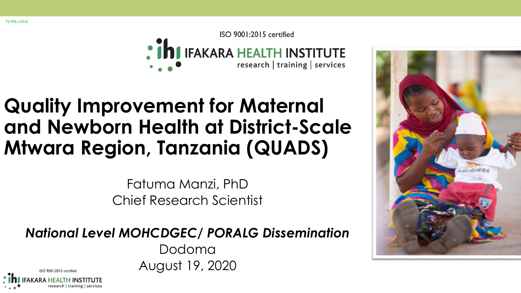T2-PSL-v19.0

ISO 9001:2015 certified : ihi IFAKARA HEALTH INSTITUTE research | training | services

### **Quality Improvement for Maternal and Newborn Health at District-Scale Mtwara Region, Tanzania (QUADS)**

Fatuma Manzi, PhD Chief Research Scientist

*National Level MOHCDGEC/ PORALG Dissemination*

Dodoma August 19, 2020



 $ISO$  9001:2015 certifie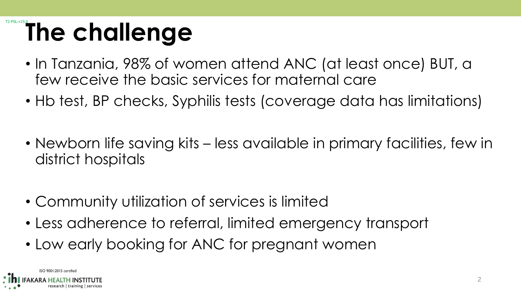## The challenge

- In Tanzania, 98% of women attend ANC (at least once) BUT, a few receive the basic services for maternal care
- Hb test, BP checks, Syphilis tests (coverage data has limitations)
- Newborn life saving kits less available in primary facilities, few in district hospitals
- Community utilization of services is limited
- Less adherence to referral, limited emergency transport
- Low early booking for ANC for pregnant women

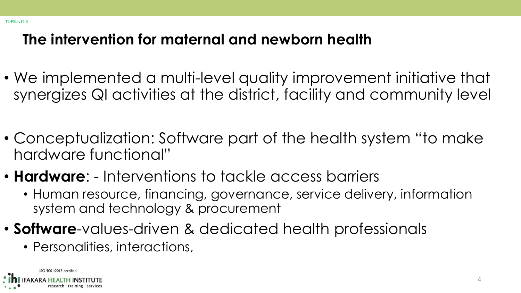#### **The intervention for maternal and newborn health**

- We implemented a multi-level quality improvement initiative that synergizes QI activities at the district, facility and community level
- Conceptualization: Software part of the health system "to make hardware functional"
- **Hardware**: Interventions to tackle access barriers
	- Human resource, financing, governance, service delivery, information system and technology & procurement
- **Software**-values-driven & dedicated health professionals
	- Personalities, interactions,

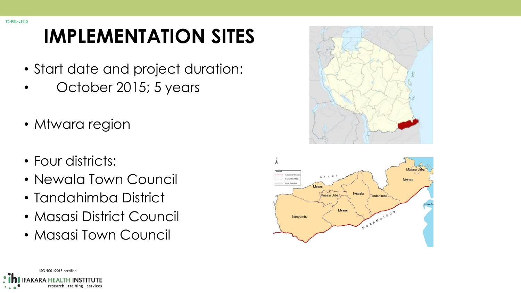### **IMPLEMENTATION SITES**

- Start date and project duration:
- October 2015; 5 years
- Mtwara region
- Four districts:
- Newala Town Council
- Tandahimba District
- Masasi District Council
- Masasi Town Council





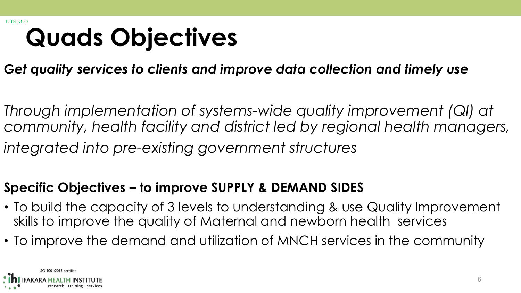## **Quads Objectives**

*Get quality services to clients and improve data collection and timely use*

*Through implementation of systems-wide quality improvement (QI) at community, health facility and district led by regional health managers, integrated into pre-existing government structures* 

#### **Specific Objectives – to improve SUPPLY & DEMAND SIDES**

- To build the capacity of 3 levels to understanding & use Quality Improvement skills to improve the quality of Maternal and newborn health services
- To improve the demand and utilization of MNCH services in the community

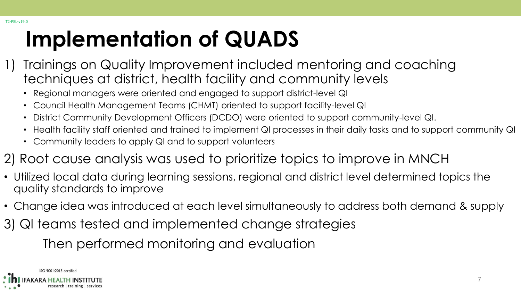## **Implementation of QUADS**

- 1) Trainings on Quality Improvement included mentoring and coaching techniques at district, health facility and community levels
	- Regional managers were oriented and engaged to support district-level QI
	- Council Health Management Teams (CHMT) oriented to support facility-level QI
	- District Community Development Officers (DCDO) were oriented to support community-level QI.
	- Health facility staff oriented and trained to implement QI processes in their daily tasks and to support community QI
	- Community leaders to apply QI and to support volunteers
- 2) Root cause analysis was used to prioritize topics to improve in MNCH
- Utilized local data during learning sessions, regional and district level determined topics the quality standards to improve
- Change idea was introduced at each level simultaneously to address both demand & supply
- 3) QI teams tested and implemented change strategies Then performed monitoring and evaluation

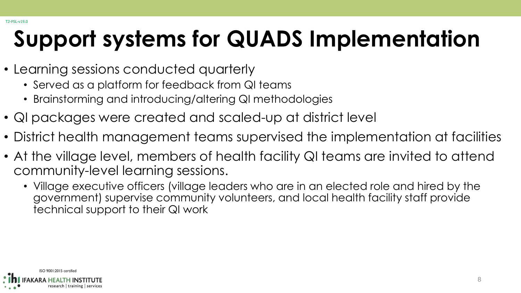## **Support systems for QUADS Implementation**

- Learning sessions conducted quarterly
	- Served as a platform for feedback from QI teams
	- Brainstorming and introducing/altering QI methodologies
- QI packages were created and scaled-up at district level
- District health management teams supervised the implementation at facilities
- At the village level, members of health facility QI teams are invited to attend community-level learning sessions.
	- Village executive officers (village leaders who are in an elected role and hired by the government) supervise community volunteers, and local health facility staff provide technical support to their QI work

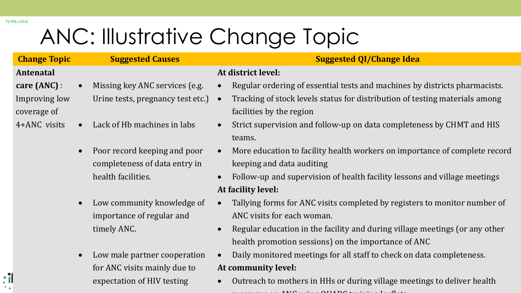## ANC: Illustrative Change Topic

#### **Antenatal**

T2-PSL-v19.0

 $\ddot{\cdot}$ 

- **care (ANC)** : Improving low coverage of
- 4+ANC visits
- Urine tests, pregnancy test etc.)

• Missing key ANC services (e.g.

- Lack of Hb machines in labs
- Poor record keeping and poor completeness of data entry in health facilities.
- Low community knowledge of importance of regular and timely ANC.
- Low male partner cooperation for ANC visits mainly due to expectation of HIV testing

#### **Change Topic Suggested Causes Suggested QI/Change Idea**

#### **At district level:**

- Regular ordering of essential tests and machines by districts pharmacists.
- Tracking of stock levels status for distribution of testing materials among facilities by the region
- Strict supervision and follow-up on data completeness by CHMT and HIS teams.
- More education to facility health workers on importance of complete record keeping and data auditing
- Follow-up and supervision of health facility lessons and village meetings **At facility level:**
- Tallying forms for ANC visits completed by registers to monitor number of ANC visits for each woman.
- Regular education in the facility and during village meetings (or any other health promotion sessions) on the importance of ANC
- Daily monitored meetings for all staff to check on data completeness. **At community level:**
- 9 Outreach to mothers in HHs or during village meetings to deliver health  $\mathbf{A} \mathbf{M} \mathbf{C}$  using  $\mathbf{A} \mathbf{M} \mathbf{C}$  training leaflets  $\mathbf{A} \mathbf{M} \mathbf{C}$  training leaflets  $\mathbf{A} \mathbf{M} \mathbf{C}$  and  $\mathbf{A} \mathbf{M} \mathbf{C}$  and  $\mathbf{A} \mathbf{M} \mathbf{C}$  and  $\mathbf{A} \mathbf{M} \mathbf{C}$  and  $\mathbf{A} \mathbf{M} \mathbf$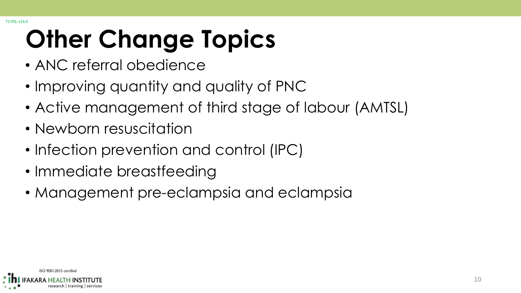# **Other Change Topics**

- ANC referral obedience
- Improving quantity and quality of PNC
- Active management of third stage of labour (AMTSL)
- Newborn resuscitation
- Infection prevention and control (IPC)
- Immediate breastfeeding
- Management pre-eclampsia and eclampsia

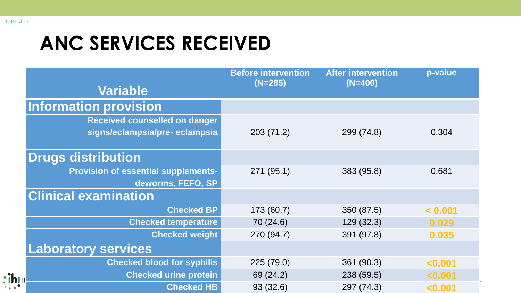$\cdot$ ih

#### **ANC SERVICES RECEIVED**

| <b>Variable</b>                            | <b>Before intervention</b><br>$(N=285)$ | <b>After intervention</b><br>$(N=400)$ | p-value |
|--------------------------------------------|-----------------------------------------|----------------------------------------|---------|
| <b>Information provision</b>               |                                         |                                        |         |
| <b>Received counselled on danger</b>       |                                         |                                        |         |
| signs/eclampsia/pre-eclampsia              | 203(71.2)                               | 299 (74.8)                             | 0.304   |
|                                            |                                         |                                        |         |
| <b>Drugs distribution</b>                  |                                         |                                        |         |
| <b>Provision of essential supplements-</b> | 271 (95.1)                              | 383 (95.8)                             | 0.681   |
| deworms, FEFO, SP                          |                                         |                                        |         |
| <b>Clinical examination</b>                |                                         |                                        |         |
| <b>Checked BP</b>                          | 173 (60.7)                              | 350 (87.5)                             | < 0.001 |
| <b>Checked temperature</b>                 | 70 (24.6)                               | 129(32.3)                              | 0.029   |
| <b>Checked weight</b>                      | 270 (94.7)                              | 391 (97.8)                             | 0.035   |
| <b>Laboratory services</b>                 |                                         |                                        |         |
| <b>Checked blood for syphilis</b>          | 225 (79.0)                              | 361 (90.3)                             | < 0.001 |
| <b>Checked urine protein</b>               | 69 (24.2)                               | 238 (59.5)                             | < 0.001 |
| <b>Checked HB</b>                          | 93 (32.6)                               | 297 (74.3)                             | < 0.001 |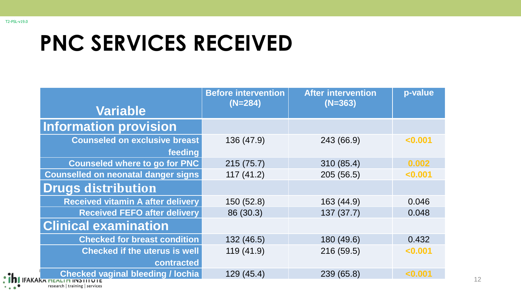## **PNC SERVICES RECEIVED**

| <b>Variable</b>                                                     | <b>Before intervention</b><br>$(N=284)$ | <b>After intervention</b><br>$(N=363)$ | p-value |
|---------------------------------------------------------------------|-----------------------------------------|----------------------------------------|---------|
| <b>Information provision</b>                                        |                                         |                                        |         |
| <b>Counseled on exclusive breast</b><br>feeding                     | 136 (47.9)                              | 243 (66.9)                             | < 0.001 |
| <b>Counseled where to go for PNC</b>                                | 215(75.7)                               | 310 (85.4)                             | 0.002   |
| <b>Counselled on neonatal danger signs</b>                          | 117(41.2)                               | 205 (56.5)                             | < 0.001 |
| <b>Drugs distribution</b>                                           |                                         |                                        |         |
| <b>Received vitamin A after delivery</b>                            | 150 (52.8)                              | 163 (44.9)                             | 0.046   |
| <b>Received FEFO after delivery</b>                                 | 86 (30.3)                               | 137(37.7)                              | 0.048   |
| <b>Clinical examination</b>                                         |                                         |                                        |         |
| <b>Checked for breast condition</b>                                 | 132 (46.5)                              | 180 (49.6)                             | 0.432   |
| <b>Checked if the uterus is well</b>                                | 119(41.9)                               | 216 (59.5)                             | < 0.001 |
| contracted                                                          |                                         |                                        |         |
| <b>Checked vaginal bleeding / lochia</b><br>FAKAKA HEALIH INSIIIUIE | 129(45.4)                               | 239 (65.8)                             | < 0.001 |

research | training | services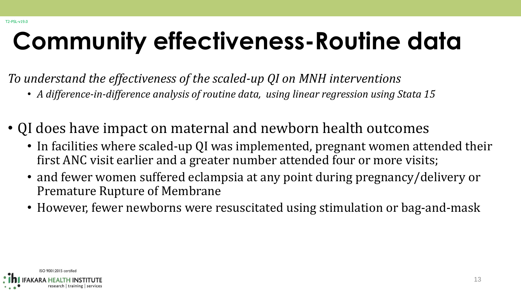## **Community effectiveness-Routine data**

*To understand the effectiveness of the scaled-up QI on MNH interventions*

- *A difference-in-difference analysis of routine data, using linear regression using Stata 15*
- QI does have impact on maternal and newborn health outcomes
	- In facilities where scaled-up QI was implemented, pregnant women attended their first ANC visit earlier and a greater number attended four or more visits;
	- and fewer women suffered eclampsia at any point during pregnancy/delivery or Premature Rupture of Membrane
	- However, fewer newborns were resuscitated using stimulation or bag-and-mask

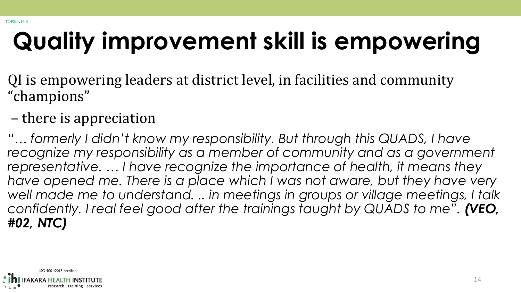## **Quality improvement skill is empowering**

- QI is empowering leaders at district level, in facilities and community "champions"
- there is appreciation

"... formerly I didn't know my responsibility. But through this QUADS, I have *recognize my responsibility as a member of community and as a government representative. … I have recognize the importance of health, it means they have opened me. There is a place which I was not aware, but they have very*  well made me to understand. .. in meetings in groups or village meetings, I talk *confidently. I real feel good after the trainings taught by QUADS to me". (VEO, #02, NTC)*

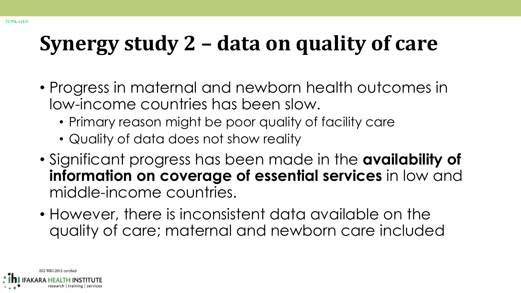## **Synergy study 2 – data on quality of care**

- Progress in maternal and newborn health outcomes in low-income countries has been slow.
	- Primary reason might be poor quality of facility care
	- Quality of data does not show reality
- Significant progress has been made in the **availability of information on coverage of essential services** in low and middle-income countries.
- However, there is inconsistent data available on the quality of care; maternal and newborn care included

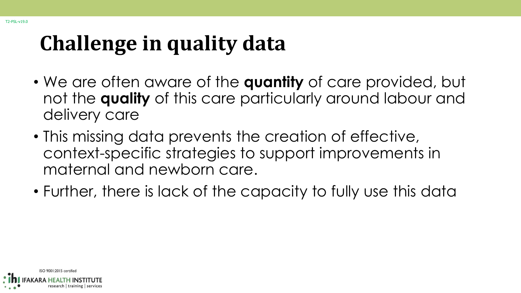## **Challenge in quality data**

- We are often aware of the **quantity** of care provided, but not the **quality** of this care particularly around labour and delivery care
- This missing data prevents the creation of effective, context-specific strategies to support improvements in maternal and newborn care.
- Further, there is lack of the capacity to fully use this data

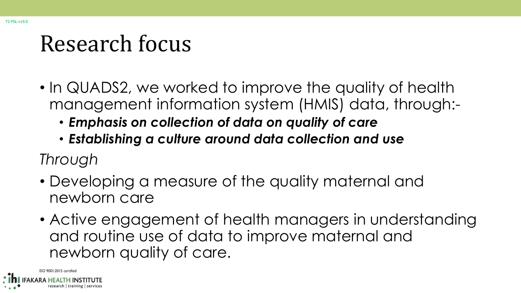## Research focus

- In QUADS2, we worked to improve the quality of health management information system (HMIS) data, through:-
	- *Emphasis on collection of data on quality of care*
	- *Establishing a culture around data collection and use*

*Through*

- Developing a measure of the quality maternal and newborn care
- Active engagement of health managers in understanding and routine use of data to improve maternal and newborn quality of care.

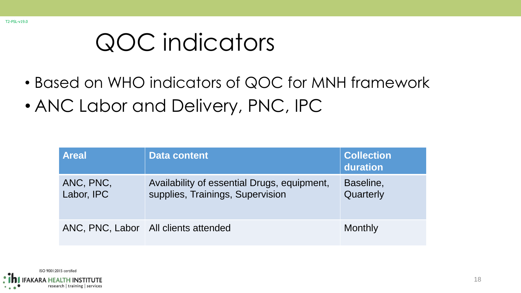## QOC indicators

- Based on WHO indicators of QOC for MNH framework
- ANC Labor and Delivery, PNC, IPC

| <b>Areal</b>            | <b>Data content</b>                                                             | <b>Collection</b><br>duration |
|-------------------------|---------------------------------------------------------------------------------|-------------------------------|
| ANC, PNC,<br>Labor, IPC | Availability of essential Drugs, equipment,<br>supplies, Trainings, Supervision | Baseline,<br>Quarterly        |
|                         | ANC, PNC, Labor   All clients attended                                          | <b>Monthly</b>                |

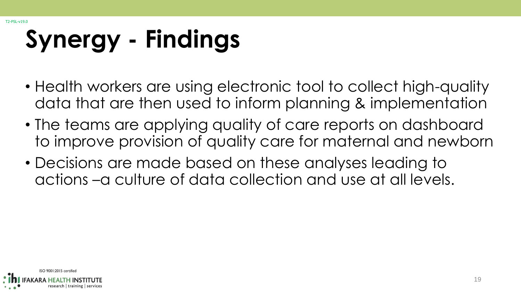T2-PSL-v19.0

## **Synergy - Findings**

- Health workers are using electronic tool to collect high-quality data that are then used to inform planning & implementation
- The teams are applying quality of care reports on dashboard to improve provision of quality care for maternal and newborn
- Decisions are made based on these analyses leading to actions –a culture of data collection and use at all levels.

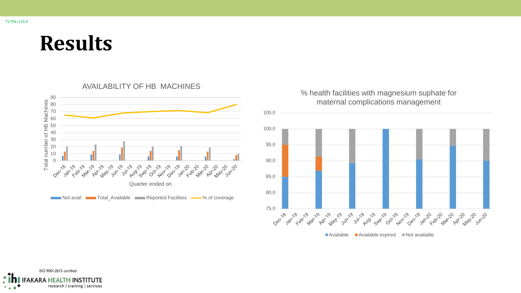#### **Results**



#### 105.0 100.0 95.0 90.0 85.0 80.0 75.0 **v** Sep 19 ADY 1/9 **Alay' Jun** 11/9 110 19 Jul- Avo **Aug Sep** Jungering Oct- Nov- O **Jan-20 PMar-20** Apr May 20 Jun 20

% health facilities with magnesium suphate for maternal complications management

 $\blacksquare$  Available  $\blacksquare$  Available expired  $\blacksquare$  Not available

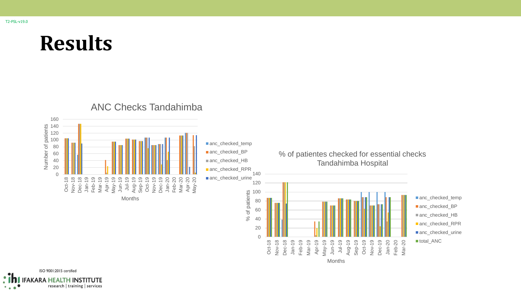T2-PSL-v19.0

### **Results**



ISO 9001:2015 certified : ih **IFAKARA HEALTH INSTITUTE** research | training | services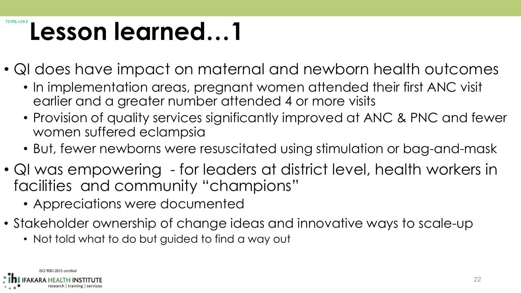## T2-PSL-v19.0 **Lesson learned…1**

- QI does have impact on maternal and newborn health outcomes
	- In implementation areas, pregnant women attended their first ANC visit earlier and a greater number attended 4 or more visits
	- Provision of quality services significantly improved at ANC & PNC and fewer women suffered eclampsia
	- But, fewer newborns were resuscitated using stimulation or bag-and-mask
- QI was empowering for leaders at district level, health workers in facilities and community "champions"
	- Appreciations were documented
- Stakeholder ownership of change ideas and innovative ways to scale-up
	- Not told what to do but guided to find a way out

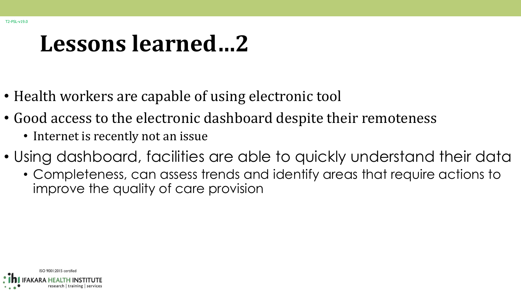## **Lessons learned…2**

- Health workers are capable of using electronic tool
- Good access to the electronic dashboard despite their remoteness
	- Internet is recently not an issue
- Using dashboard, facilities are able to quickly understand their data
	- Completeness, can assess trends and identify areas that require actions to improve the quality of care provision

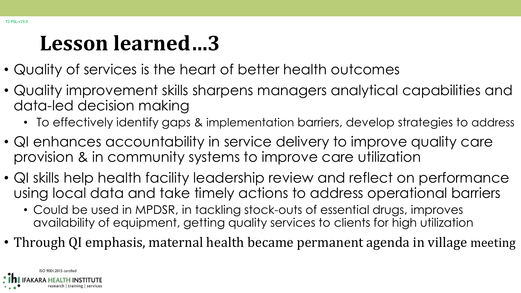### **Lesson learned…3**

- Quality of services is the heart of better health outcomes
- Quality improvement skills sharpens managers analytical capabilities and data-led decision making
	- To effectively identify gaps & implementation barriers, develop strategies to address
- QI enhances accountability in service delivery to improve quality care provision & in community systems to improve care utilization
- QI skills help health facility leadership review and reflect on performance using local data and take timely actions to address operational barriers
	- Could be used in MPDSR, in tackling stock-outs of essential drugs, improves availability of equipment, getting quality services to clients for high utilization
- Through QI emphasis, maternal health became permanent agenda in village meeting

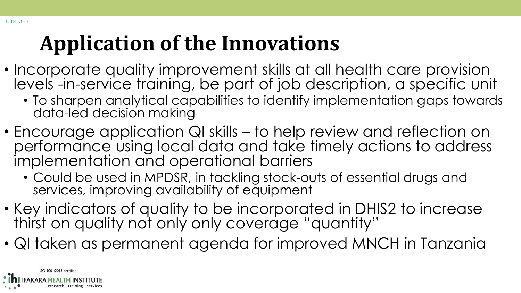### **Application of the Innovations**

- Incorporate quality improvement skills at all health care provision levels -in-service training, be part of job description, a specific unit
	- To sharpen analytical capabilities to identify implementation gaps towards data-led decision making
- Encourage application QI skills to help review and reflection on performance using local data and take timely actions to address implementation and operational barriers
	- Could be used in MPDSR, in tackling stock-outs of essential drugs and services, improving availability of equipment
- Key indicators of quality to be incorporated in DHIS2 to increase thirst on quality not only only coverage "quantity"
- QI taken as permanent agenda for improved MNCH in Tanzania